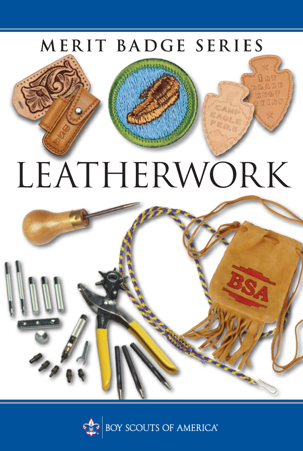## MERIT BADGE SERIES

# LEATHERWORK



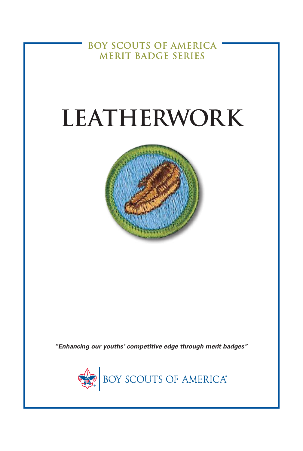**BOY SCOUTS OF AMERICA MERIT BADGE SERIES**

## **LEATHERWORK**



*"Enhancing our youths' competitive edge through merit badges"*

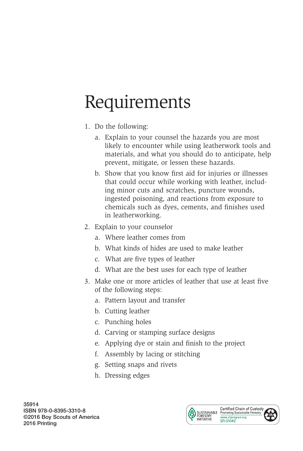## Requirements

- 1. Do the following:
	- a. Explain to your counsel the hazards you are most likely to encounter while using leatherwork tools and materials, and what you should do to anticipate, help prevent, mitigate, or lessen these hazards.
	- b. Show that you know first aid for injuries or illnesses that could occur while working with leather, including minor cuts and scratches, puncture wounds, ingested poisoning, and reactions from exposure to chemicals such as dyes, cements, and finishes used in leatherworking.
- 2. Explain to your counselor
	- a. Where leather comes from
	- b. What kinds of hides are used to make leather
	- c. What are five types of leather
	- d. What are the best uses for each type of leather
- 3. Make one or more articles of leather that use at least five of the following steps:
	- a. Pattern layout and transfer
	- b. Cutting leather
	- c. Punching holes
	- d. Carving or stamping surface designs
	- e. Applying dye or stain and finish to the project
	- f. Assembly by lacing or stitching
	- g. Setting snaps and rivets
	- h. Dressing edges

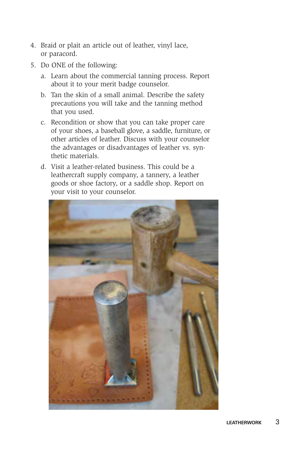- 4. Braid or plait an article out of leather, vinyl lace, or paracord.
- 5. Do ONE of the following:
	- a. Learn about the commercial tanning process. Report about it to your merit badge counselor.
	- b. Tan the skin of a small animal. Describe the safety precautions you will take and the tanning method that you used.
	- c. Recondition or show that you can take proper care of your shoes, a baseball glove, a saddle, furniture, or other articles of leather. Discuss with your counselor the advantages or disadvantages of leather vs. synthetic materials.
	- d. Visit a leather-related business. This could be a leathercraft supply company, a tannery, a leather goods or shoe factory, or a saddle shop. Report on your visit to your counselor.

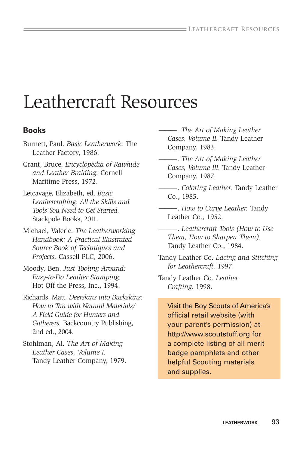### Leathercraft Resources

#### **Books**

- Burnett, Paul. *Basic Leatherwork.* The Leather Factory, 1986.
- Grant, Bruce. *Encyclopedia of Rawhide and Leather Braiding.* Cornell Maritime Press, 1972.
- Letcavage, Elizabeth, ed. *Basic Leathercrafting: All the Skills and Tools You Need to Get Started.*  Stackpole Books, 2011.
- Michael, Valerie. *The Leatherworking Handbook: A Practical Illustrated Source Book of Techniques and Projects.* Cassell PLC, 2006.
- Moody, Ben. *Just Tooling Around: Easy-to-Do Leather Stamping.* Hot Off the Press, Inc., 1994.
- Richards, Matt. *Deerskins into Buckskins: How to Tan with Natural Materials/ A Field Guide for Hunters and Gatherers.* Backcountry Publishing, 2nd ed., 2004.
- Stohlman, Al. *The Art of Making Leather Cases, Volume I.* Tandy Leather Company, 1979.
- ———. *The Art of Making Leather Cases, Volume II.* Tandy Leather Company, 1983.
- ———. *The Art of Making Leather Cases, Volume III.* Tandy Leather Company, 1987.
- ———. *Coloring Leather.* Tandy Leather Co., 1985.
- ———. *How to Carve Leather.* Tandy Leather Co., 1952.
- ———. *Leathercraft Tools (How to Use Them, How to Sharpen Them).*  Tandy Leather Co., 1984.
- Tandy Leather Co. *Lacing and Stitching for Leathercraft.* 1997.
- Tandy Leather Co. *Leather Crafting.* 1998.
	- Visit the Boy Scouts of America's official retail website (with your parent's permission) at http://www.scoutstuff.org for a complete listing of all merit badge pamphlets and other helpful Scouting materials and supplies.